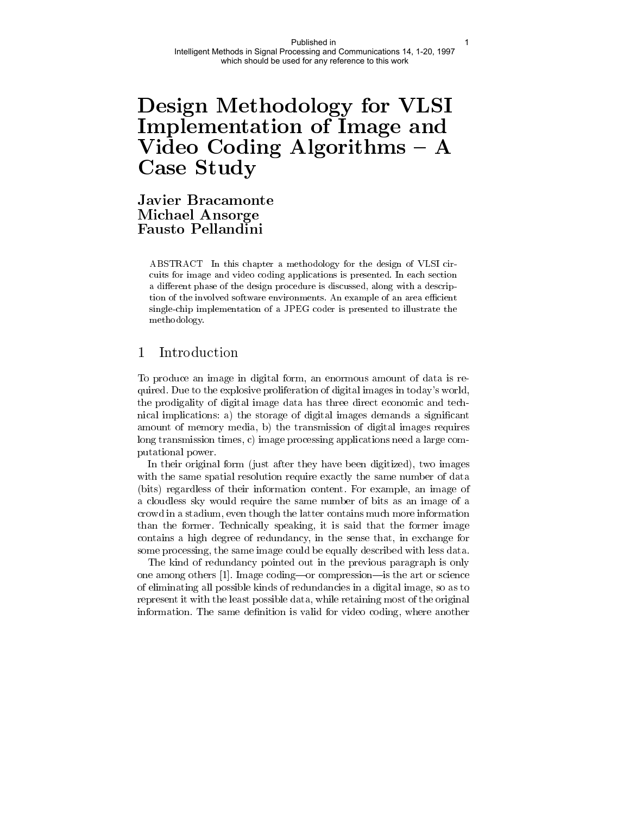1

# Design Methodology for VLSI Implementation of Image and Video Coding Algorithms  $-$  A Case Study

Michael Ansorge Fausto Pellandini

ABSTRACT In this chapter <sup>a</sup> methodology for the design of VLSI circuits for image and video coding applications is presented. In each section a different phase of the design procedure is discussed, along with a description of the involved software environments. An example of an area efficient single-chip implementation of a JPEG coder is presented to illustrate the methodology.

### $\mathbf{1}$ Introduction

To produce an image in digital form, an enormous amount of data is required. Due to the explosive proliferation of digital images in today's world, the prodigality of digital image data has three direct economic and technical implications: a) the storage of digital images demands a signicant amount of memory media, b) the transmission of digital images requires long transmission times, c) image processing applications need a large computational power.

In their original form (just after they have been digitized), two images with the same spatial resolution require exactly the same number of data (bits) regardless of their information content. For example, an image of a cloudless sky would require the same number of bits as an image of a crowd in a stadium, even though the latter contains much more information than the former. Technically speaking, it is said that the former image contains a high degree of redundancy, in the sense that, in exchange for some processing, the same image could be equally described with less data.

The kind of redundancy pointed out in the previous paragraph is only one among others [1]. Image coding—or compression—is the art or science of eliminating all possible kinds of redundancies in a digital image, so as to represent it with the least possible data, while retaining most of the original information. The same definition is valid for video coding, where another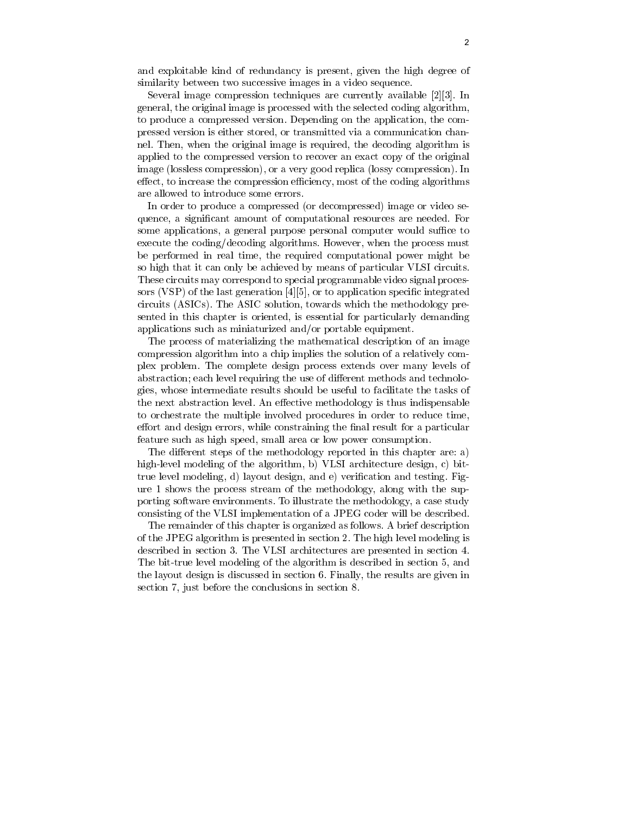and exploitable kind of redundancy is present, given the high degree of similarity between two successive images in a video sequence.

Several image compression techniques are currently available [2][3]. In general, the original image is processed with the selected coding algorithm, to produce a compressed version. Depending on the application, the compressed version is either stored, or transmitted via a communication channel. Then, when the original image is required, the decoding algorithm is applied to the compressed version to recover an exact copy of the original image (lossless compression), or a very good replica (lossy compression). In effect, to increase the compression efficiency, most of the coding algorithms are allowed to introduce some errors.

In order to produce a compressed (or decompressed) image or video sequence, a signicant amount of computational resources are needed. For some applications, a general purpose personal computer would suffice to execute the coding/decoding algorithms. However, when the process must be performed in real time, the required computational power might be so high that it can only be achieved by means of particular VLSI circuits. These circuits may correspond to special programmable video signal processors (VSP) of the last generation [4][5], or to application specic integrated circuits (ASICs). The ASIC solution, towards which the methodology presented in this chapter is oriented, is essential for particularly demanding applications such as miniaturized and/or portable equipment.

The process of materializing the mathematical description of an image compression algorithm into a chip implies the solution of a relatively complex problem. The complete design process extends over many levels of abstraction; each level requiring the use of different methods and technologies, whose intermediate results should be useful to facilitate the tasks of the next abstraction level. An effective methodology is thus indispensable to orchestrate the multiple involved procedures in order to reduce time, effort and design errors, while constraining the final result for a particular feature such as high speed, small area or low power consumption.

The different steps of the methodology reported in this chapter are: a) high-level modeling of the algorithm, b) VLSI architecture design, c) bittrue level modeling,  $d$ ) layout design, and e) verification and testing. Figure 1 shows the process stream of the methodology, along with the supporting software environments. To illustrate the methodology, a case study consisting of the VLSI implementation of a JPEG coder will be described.

The remainder of this chapter is organized asfollows. A brief description of the JPEG algorithm is presented in section 2. The high level modeling is described in section 3. The VLSI architectures are presented in section 4. The bit-true level modeling of the algorithm is described in section 5, and the layout design is discussed in section 6. Finally, the results are given in section 7, just before the conclusions in section 8.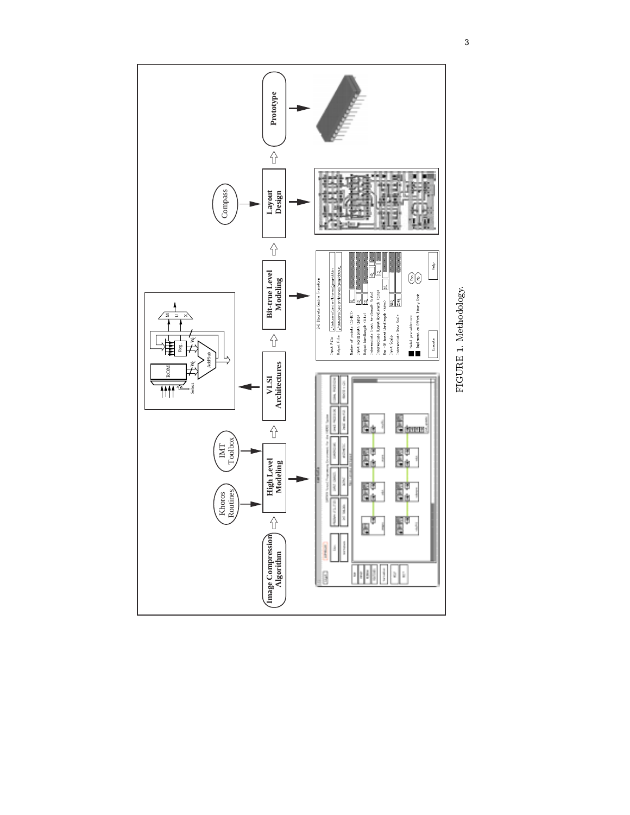

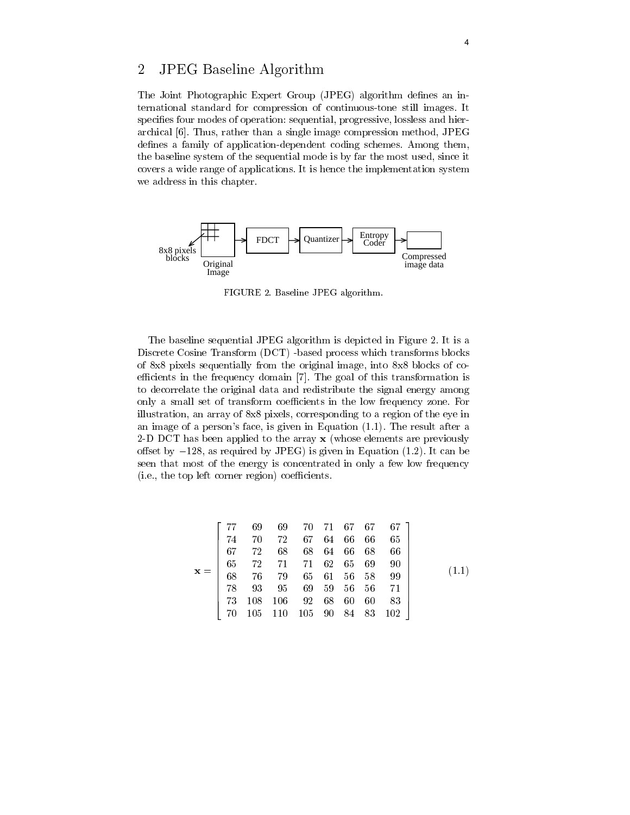## 2 JPEG Baseline Algorithm

The Joint Photographic Expert Group (JPEG) algorithm defines an international standard for compression of continuous-tone still images. It specifies four modes of operation: sequential, progressive, lossless and hierarchical [6]. Thus, rather than a single image compression method, JPEG defines a family of application-dependent coding schemes. Among them, the baseline system of the sequential mode is by far the most used, since it covers a wide range of applications. It is hence the implementation system we address in this chapter.



FIGURE 2. Baseline JPEG algorithm.

The baseline sequential JPEG algorithm is depicted in Figure 2. It is a Discrete Cosine Transform (DCT) -based process which transforms blocks of 8x8 pixels sequentially from the original image, into 8x8 blocks of coefficients in the frequency domain [7]. The goal of this transformation is to decorrelate the original data and redistribute the signal energy among only a small set of transform coefficients in the low frequency zone. For illustration, an array of 8x8 pixels, corresponding to a region of the eye in an image of a person's face, is given in Equation (1.1). The result after a 2-D DCT has been applied to the array x (whose elements are previously offset by  $-128$ , as required by JPEG) is given in Equation (1.2). It can be seen that most of the energy is concentrated in only a few low frequency (i.e., the top left corner region) coefficients.

|  |  |  |  | (1.1)                                                                                                                                                                                                                                                                                                                                                                                                                                                                                                  |
|--|--|--|--|--------------------------------------------------------------------------------------------------------------------------------------------------------------------------------------------------------------------------------------------------------------------------------------------------------------------------------------------------------------------------------------------------------------------------------------------------------------------------------------------------------|
|  |  |  |  |                                                                                                                                                                                                                                                                                                                                                                                                                                                                                                        |
|  |  |  |  |                                                                                                                                                                                                                                                                                                                                                                                                                                                                                                        |
|  |  |  |  |                                                                                                                                                                                                                                                                                                                                                                                                                                                                                                        |
|  |  |  |  | $\begin{bmatrix} 77 & 69 & 69 & 70 & 71 & 67 & 67 & 67 \\ 74 & 70 & 72 & 67 & 64 & 66 & 66 & 65 \end{bmatrix}$<br>$\begin{array}{cccccc} 67 & 72 & 68 & 68 & 64 & 66 & 68 & 66 \end{array}$<br>$\mathbf{x} = \begin{bmatrix} 65 & 72 & 71 & 71 & 62 & 65 & 69 & 90 \\ 68 & 76 & 79 & 65 & 61 & 56 & 58 & 99 \end{bmatrix}$<br>78 93 95 69 59 56 56 71<br>$\begin{array}{ ccccccccccc } \hline 73 & 108 & 106 & 92 & 68 & 60 & 60 & 83 \\ \hline 70 & 105 & 110 & 105 & 90 & 84 & 83 & 102 \end{array}$ |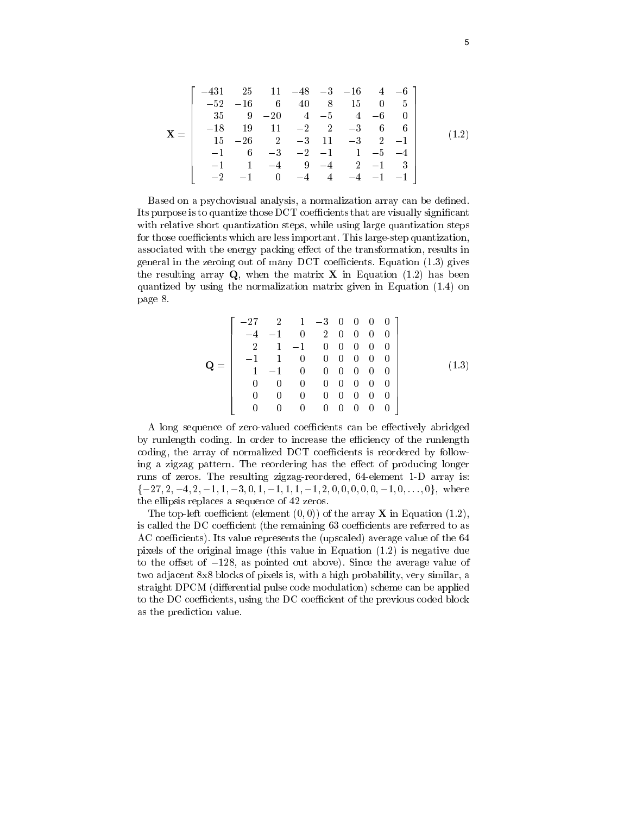$$
\mathbf{X} = \begin{bmatrix}\n-431 & 25 & 11 & -48 & -3 & -16 & 4 & -6 \\
-52 & -16 & 6 & 40 & 8 & 15 & 0 & 5 \\
35 & 9 & -20 & 4 & -5 & 4 & -6 & 0 \\
-18 & 19 & 11 & -2 & 2 & -3 & 6 & 6 \\
15 & -26 & 2 & -3 & 11 & -3 & 2 & -1 \\
-1 & 6 & -3 & -2 & -1 & 1 & -5 & -4 \\
-1 & 1 & -4 & 9 & -4 & 2 & -1 & 3 \\
-2 & -1 & 0 & -4 & 4 & -4 & -1 & -1\n\end{bmatrix}
$$
(1.2)

Based on a psychovisual analysis, a normalization array can be dened. Its purpose is to quantize those DCT coefficients that are visually significant with relative short quantization steps, while using large quantization steps for those coefficients which are less important. This large-step quantization, associated with the energy packing effect of the transformation, results in general in the zeroing out of many  $DCT$  coefficients. Equation  $(1.3)$  gives the resulting array  $Q$ , when the matrix  $X$  in Equation (1.2) has been quantized by using the normalization matrix given in Equation (1.4) on page 8.

$$
\mathbf{Q} = \begin{bmatrix} -27 & 2 & 1 & -3 & 0 & 0 & 0 & 0 \\ -4 & -1 & 0 & 2 & 0 & 0 & 0 & 0 \\ 2 & 1 & -1 & 0 & 0 & 0 & 0 & 0 \\ -1 & 1 & 0 & 0 & 0 & 0 & 0 & 0 \\ 1 & -1 & 0 & 0 & 0 & 0 & 0 & 0 \\ 0 & 0 & 0 & 0 & 0 & 0 & 0 & 0 \\ 0 & 0 & 0 & 0 & 0 & 0 & 0 & 0 \\ 0 & 0 & 0 & 0 & 0 & 0 & 0 & 0 \end{bmatrix}
$$
(1.3)

A long sequence of zero-valued coefficients can be effectively abridged by runlength coding. In order to increase the efficiency of the runlength coding, the array of normalized DCT coefficients is reordered by following a zigzag pattern. The reordering has the effect of producing longer runs of zeros. The resulting zigzag-reordered, 64-element 1-D array is:  $\{-27, 2, -4, 2, -1, 1, -3, 0, 1, -1, 1, 1, -1, 2, 0, 0, 0, 0, 0, -1, 0, \ldots, 0\}$ , where the ellipsis replaces a sequence of 42 zeros.

The top-left coefficient (element  $(0, 0)$ ) of the array **X** in Equation (1.2), is called the DC coefficient (the remaining coefficients are referred to as AC coefficients). Its value represents the (upscaled) average value of the 64 pixels of the original image (this value in Equation (1.2) is negative due to the offset of  $-128$ , as pointed out above). Since the average value of two adjacent 8x8 blocks of pixels is, with a high probability, very similar, a straight DPCM (differential pulse code modulation) scheme can be applied to the DC coefficients, using the DC coefficient of the previous coded block as the prediction value.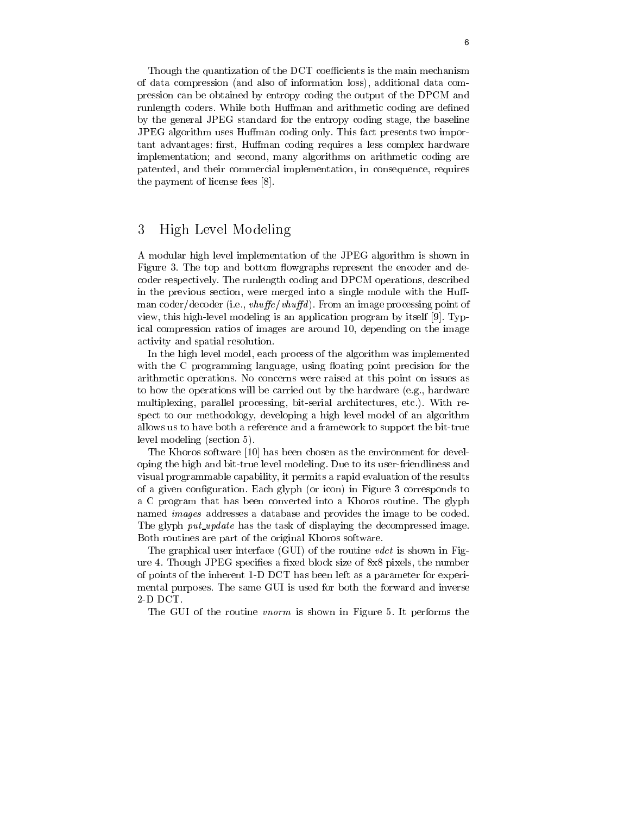Though the quantization of the DCT coefficients is the main mechanism of data compression (and also of information loss), additional data compression can be obtained by entropy coding the output of the DPCM and runlength coders. While both Huffman and arithmetic coding are defined by the general JPEG standard for the entropy coding stage, the baseline JPEG algorithm uses Huffman coding only. This fact presents two important advantages: first, Huffman coding requires a less complex hardware implementation; and second, many algorithms on arithmetic coding are patented, and their commercial implementation, in consequence, requires the payment of license fees [8].

#### 3 3 High Level Modeling

A modular high level implementation of the JPEG algorithm is shown in Figure 3. The top and bottom flowgraphs represent the encoder and decoder respectively. The runlength coding and DPCM operations, described in the previous section, were merged into a single module with the Huffman coder/decoder (i.e.,  $v \frac{huffc}{v huffd}$ ). From an image processing point of view, this high-level modeling is an application program by itself [9]. Typical compression ratios of images are around 10, depending on the image activity and spatial resolution.

In the high level model, each process of the algorithm was implemented with the C programming language, using floating point precision for the arithmetic operations. No concerns were raised atthis point on issues as to how the operations will be carried out by the hardware (e.g., hardware multiplexing, parallel processing, bit-serial architectures, etc.). With respect to our methodology, developing a high level model of an algorithm allows us to have both a reference and a framework to support the bit-true level modeling (section 5).

The Khoros software [10] has been chosen as the environment for developing the high and bit-true level modeling. Due to its user-friendliness and visual programmable capability, it permits a rapid evaluation of the results of a given conguration. Each glyph (or icon) in Figure 3 corresponds to a C program that has been converted into a Khoros routine. The glyph named images addresses a database and provides the image to be coded. The glyph *put\_update* has the task of displaying the decompressed image. Both routines are part of the original Khoros software.

The graphical user interface (GUI) of the routine vdct is shown in Figure 4. Though JPEG specifies a fixed block size of  $8x8$  pixels, the number of points of the inherent 1-D DCT has been left as a parameter for experimental purposes. The same GUI is used for both the forward and inverse 2-D DCT.

The GUI of the routine *vnorm* is shown in Figure 5. It performs the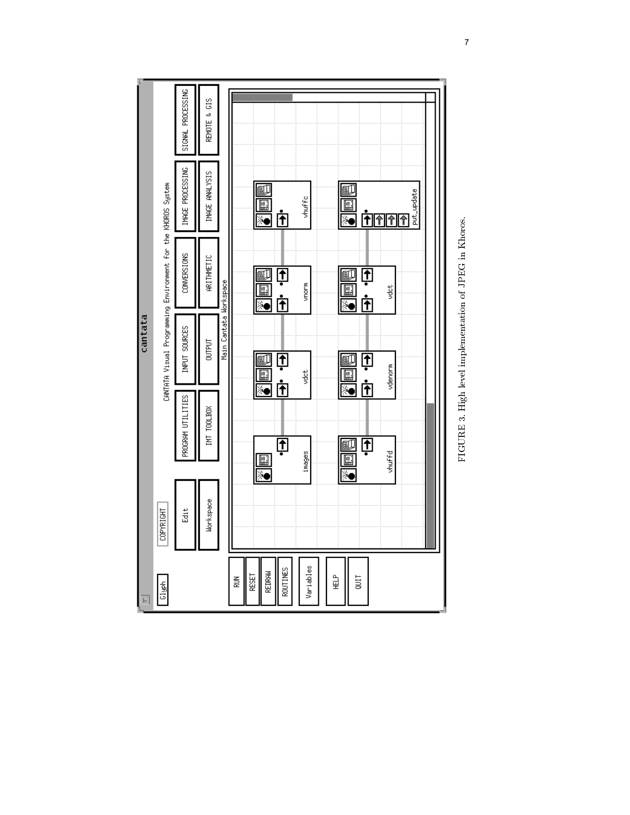|         |                                                              | SIGNAL PROCESSING  | REMOTE & GIS   |                        |                                                |           |                                                       |                      |
|---------|--------------------------------------------------------------|--------------------|----------------|------------------------|------------------------------------------------|-----------|-------------------------------------------------------|----------------------|
|         |                                                              | IMAGE PROCESSING   | INAGE ANALYSIS |                        | 卹<br>X EI<br>Ė                                 | vhuffc    | 剛<br><u>in K</u><br>Ť<br>囹                            | put_update<br>↟<br>↟ |
|         | CANTATA Visual Programming Environment for the KHOROS System | <b>CONVERSIONS</b> | ARITHMETIC     |                        | Ģ<br>Ø<br>鷗<br>İ<br>्र                         | vnorm     | Ģ<br>l"<br>$\blacksquare$<br>$\mathbf{\dot{t}}$<br>X. | vdet                 |
| cantata |                                                              | INPUT SOURCES      | <b>OUTPUT</b>  | Main Cantata Workspace | Ģ<br>Ø<br><b>I</b><br>Ċ<br>溪                   | vdet      | Ģ<br>lii D<br>$\blacksquare$<br>$\dot{t}$<br>☀        | vdenorm              |
|         |                                                              | PROGRAM UTILITIES  | INT TOOLBOX    |                        | Ģ<br>圖溪                                        | images    | $\overline{\bm{\theta}}$<br>國<br><u>e</u>             | whuffd               |
|         | COPYRIGHT                                                    | Edit               | korkspace      |                        |                                                |           |                                                       |                      |
| Þ       | <b>Glyph</b>                                                 |                    |                |                        | <b>ROUTINES</b><br><b>REDRAW</b><br>RESET<br>る | Variables | e<br>呈<br><b>TIMB</b>                                 |                      |

FIGURE 3. High level implementation of JPEG in Khoros. FIGURE 3. High level implementation of JPEG in Khoros.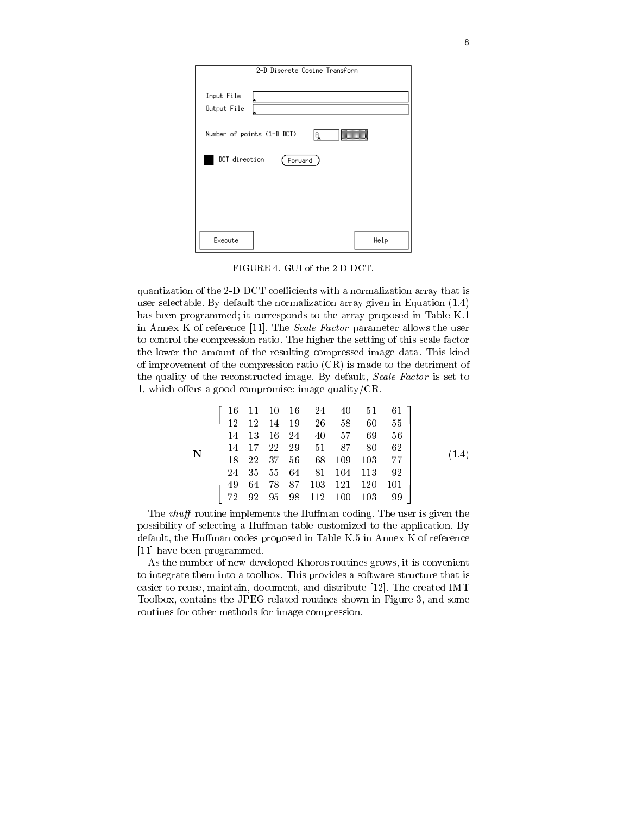| 2-D Discrete Cosine Transform     |
|-----------------------------------|
| Input File<br>Output File         |
| Number of points (1-D DCT)<br>18. |
| DCT direction<br>Forward          |
|                                   |
|                                   |
| Help<br>Execute                   |

FIGURE 4. GUI of the 2-D DCT.

quantization of the 2-D DCT coefficients with a normalization array that is user selectable. By default the normalization array given in Equation (1.4) has been programmed; it corresponds to the array proposed in Table K.1 in Annex K of reference [11]. The Scale Factor parameter allows the user to control the compression ratio. The higher the setting of this scale factor the lower the amount of the resulting compressed image data. This kind of improvement of the compression ratio (CR) is made to the detriment of the quality of the reconstructed image. By default, Scale Factor is set to 1, which offers a good compromise: image quality/ $CR$ .

$$
\mathbf{N} = \begin{bmatrix} 16 & 11 & 10 & 16 & 24 & 40 & 51 & 61 \\ 12 & 12 & 14 & 19 & 26 & 58 & 60 & 55 \\ 14 & 13 & 16 & 24 & 40 & 57 & 69 & 56 \\ 14 & 17 & 22 & 29 & 51 & 87 & 80 & 62 \\ 18 & 22 & 37 & 56 & 68 & 109 & 103 & 77 \\ 24 & 35 & 55 & 64 & 81 & 104 & 113 & 92 \\ 49 & 64 & 78 & 87 & 103 & 121 & 120 & 101 \\ 72 & 92 & 95 & 98 & 112 & 100 & 103 & 99 \end{bmatrix}
$$
(1.4)

The *vhuff* routine implements the Huffman coding. The user is given the possibility of selecting a Human table customized to the application. By default, the Huffman codes proposed in Table K.5 in Annex K of reference [11] have been programmed.

As the number of new developed Khoros routines grows, it is convenient to integrate them into a toolbox. This provides a software structure that is easier to reuse, maintain, document, and distribute [12]. The created IMT Toolbox, contains the JPEG related routines shown in Figure 3, and some routines for other methods for image compression.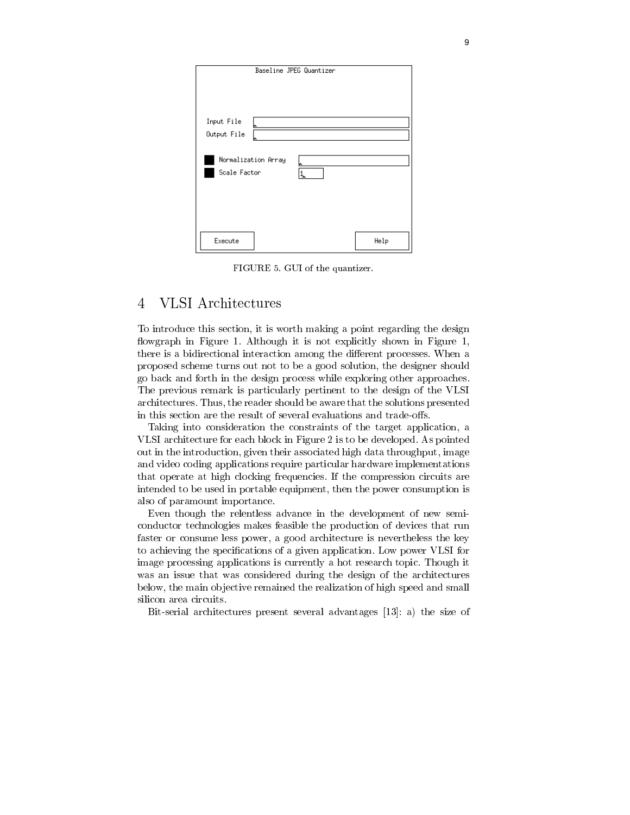| Baseline JPEG Quantizer             |      |
|-------------------------------------|------|
| Input File<br>Output File           |      |
| Normalization Array<br>Scale Factor |      |
| Execute                             | Help |

FIGURE 5. GUI of the quantizer.

#### VLSI Architectures  $\overline{4}$

To introduce this section, it is worth making a point regarding the design flowgraph in Figure 1. Although it is not explicitly shown in Figure 1, there is a bidirectional interaction among the different processes. When a proposed scheme turns out not to be a good solution, the designer should go back and forth in the design process while exploring other approaches. The previous remark is particularly pertinent to the design of the VLSI architectures. Thus, the reader should be aware that the solutions presented in this section are the result of several evaluations and trade-offs.

Taking into consideration the constraints of the target application, a VLSI architecture for each block in Figure 2 is to be developed. As pointed out in the introduction, given their associated high data throughput, image and video coding applications require particular hardware implementations that operate at high clocking frequencies. If the compression circuits are intended to be used in portable equipment, then the power consumption is also of paramount importance.

Even though the relentless advance in the development of new semiconductor technologies makes feasible the production of devices that run faster or consume less power, a good architecture is nevertheless the key to achieving the specications of a given application. Low power VLSI for image processing applications is currently a hot research topic. Though it was an issue that was considered during the design of the architectures below, the main objective remained the realization of high speed and small silicon area circuits.

Bit-serial architectures present several advantages [13]: a) the size of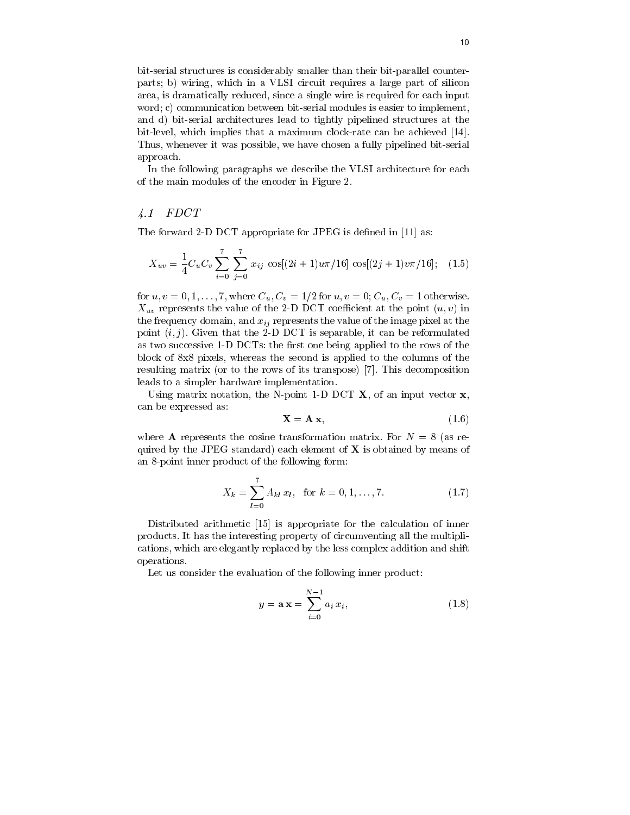bit-serial structures is considerably smaller than their bit-parallel counterparts; b) wiring, which in a VLSI circuit requires a large part of silicon area, is dramatically reduced, since a single wire is required for each input word; c) communication between bit-serial modules is easier to implement, and d) bit-serial architectures lead to tightly pipelined structures at the bit-level, which implies that a maximum clock-rate can be achieved [14]. Thus, whenever it was possible, we have chosen a fully pipelined bit-serial approach.

In the following paragraphs we describe the VLSI architecture for each of the main modules of the encoder in Figure 2.

#### 4.1FDCT

The forward 2-D DCT appropriate for JPEG is defined in [11] as:

$$
X_{uv} = \frac{1}{4}C_uC_v \sum_{i=0}^{7} \sum_{j=0}^{7} x_{ij} \cos[(2i+1)u\pi/16] \cos[(2j+1)v\pi/16]; \quad (1.5)
$$

for  $u, v = 0, 1, \ldots, 7$ , where  $C_u, C_v = 1/2$  for  $u, v = 0$ ;  $C_u, C_v = 1$  otherwise.  $X_{uv}$  represents the value of the 2-D DCT coefficient at the point  $(u, v)$  in the frequency domain, and  $x_{ij}$  represents the value of the image pixel at the point  $(i, j)$ . Given that the 2-D DCT is separable, it can be reformulated as two successive 1-D DCTs: the first one being applied to the rows of the block of 8x8 pixels, whereas the second is applied to the columns of the resulting matrix (or to the rows of its transpose) [7]. This decomposition leads to a simpler hardware implementation.

Using matrix notation, the N-point 1-D DCT  $X$ , of an input vector  $x$ , can be expressed as:

$$
\mathbf{X} = \mathbf{A} \mathbf{x},\tag{1.6}
$$

where **A** represents the cosine transformation matrix. For  $N = 8$  (as required by the JPEG standard) each element of  $X$  is obtained by means of an 8-point inner product of the following form:

$$
X_k = \sum_{l=0}^{7} A_{kl} x_l, \text{ for } k = 0, 1, ..., 7.
$$
 (1.7)

Distributed arithmetic [15] is appropriate for the calculation of inner products. It has the interesting property of circumventing all the multiplications, which are elegantly replaced by the less complex addition and shift operations.

Let us consider the evaluation of the following inner product:

$$
y = \mathbf{a} \mathbf{x} = \sum_{i=0}^{N-1} a_i x_i,
$$
 (1.8)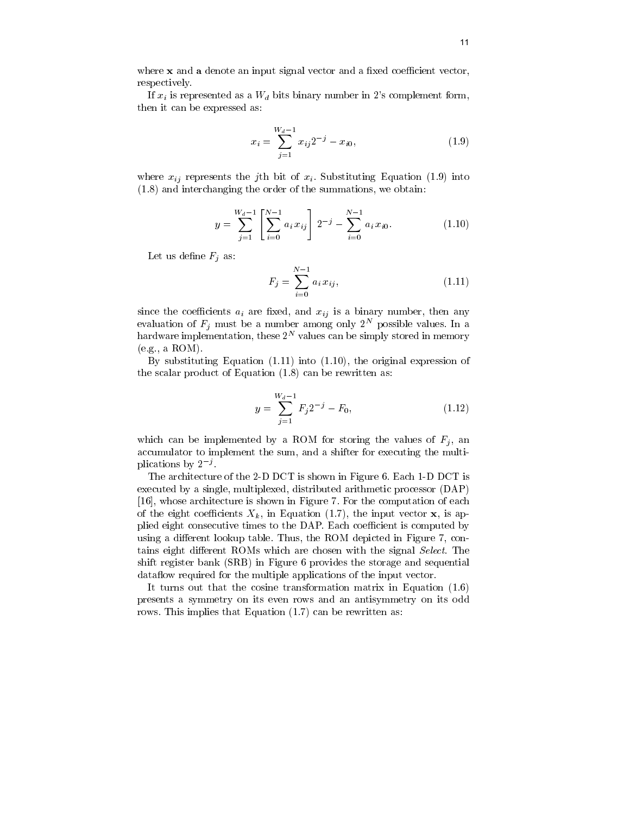where  $x$  and  $a$  denote an input signal vector and a fixed coefficient vector, respectively.

If  $x_i$  is represented as a  $W_d$  bits binary number in 2's complement form, then it can be expressed as:

$$
x_i = \sum_{j=1}^{W_d - 1} x_{ij} 2^{-j} - x_{i0}, \qquad (1.9)
$$

where  $x_{ij}$  represents the *j*th bit of  $x_i$ . Substituting Equation (1.9) into (1.8) and interchanging the order of the summations, we obtain:

$$
y = \sum_{j=1}^{W_d - 1} \left[ \sum_{i=0}^{N-1} a_i x_{ij} \right] 2^{-j} - \sum_{i=0}^{N-1} a_i x_{i0}.
$$
 (1.10)

Let us define  $F_j$  as:

$$
F_j = \sum_{i=0}^{N-1} a_i x_{ij},
$$
\n(1.11)

since the coefficients  $a_i$  are fixed, and  $x_{ij}$  is a binary number, then any evaluation of  $F_j$  must be a number among only  $2^+$  possible values. In a  $maxu$  are implementation, these  $2$  – values can be simply stored in memory (e.g., a ROM).

By substituting Equation (1.11) into (1.10), the original expression of the scalar product of Equation (1.8) can be rewritten as:

$$
y = \sum_{j=1}^{W_d - 1} F_j 2^{-j} - F_0,
$$
\n(1.12)

which can be implemented by a ROM for storing the values of  $F_j$ , an accumulator to implement the sum, and a shifter for executing the multiplications by  $2<sup>j</sup>$ .

The architecture of the 2-D DCT is shown in Figure 6. Each 1-D DCT is executed by a single, multiplexed, distributed arithmetic processor (DAP) [16], whose architecture is shown in Figure 7. For the computation of each of the eight coefficients  $X_k$ , in Equation (1.7), the input vector **x**, is applied eight consecutive times to the DAP. Each coefficient is computed by using a different lookup table. Thus, the ROM depicted in Figure 7, contains eight different ROMs which are chosen with the signal Select. The shift register bank (SRB) in Figure 6 provides the storage and sequential dataflow required for the multiple applications of the input vector.

It turns out that the cosine transformation matrix in Equation (1.6) presents a symmetry on its even rows and an antisymmetry on its odd rows. This implies that Equation (1.7) can be rewritten as: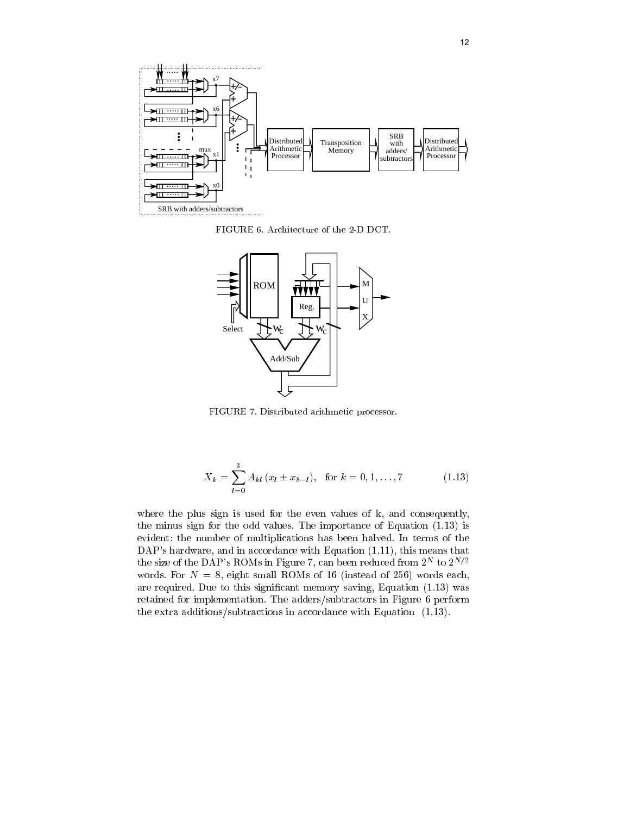

FIGURE 6. Architecture of the 2-D DCT.



FIGURE 7. Distributed arithmetic processor.

$$
X_k = \sum_{l=0}^{3} A_{kl} (x_l \pm x_{8-l}), \text{ for } k = 0, 1, ..., 7
$$
 (1.13)

where the plus sign is used for the even values of k, and consequently, the minus sign for the odd values. The importance of Equation (1.13) is evident: the number of multiplications has been halved. In terms of the DAP's hardware, and in accordance with Equation (1.11), this means that the size of the DAP's ROMs in Figure 7, can been reduced from  $2^N$  to  $2^{N/2}$ words. For  $N = 8$ , eight small ROMs of 16 (instead of 256) words each, are required. Due to this signicant memory saving, Equation (1.13) was retained for implementation. The adders/subtractors in Figure 6 perform the extra additions/subtractions in accordance with Equation (1.13).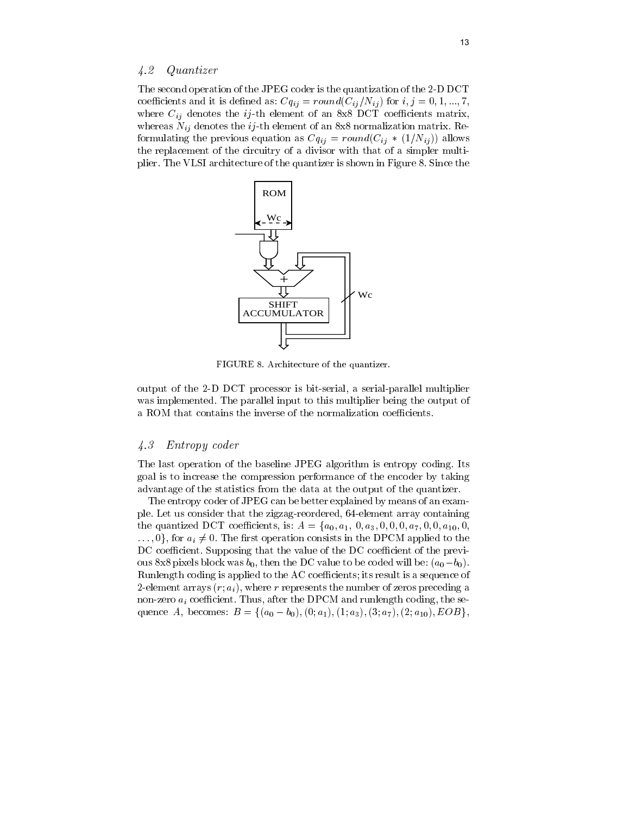#### 4.2Quantizer

The second operation of the JPEG coder is the quantization of the 2-D DCT coefficients and it is defined as:  $Cq_{ij} = round(C_{ij}/N_{ij})$  for  $i, j = 0, 1, ..., 7$ , where  $C_{ij}$  denotes the *ij*-th element of an 8x8 DCT coefficients matrix, whereas  $N_{ij}$  denotes the *ij*-th element of an 8x8 normalization matrix. Reformulating the previous equation as  $Cq_{ij} = round(C_{ij} * (1/N_{ij}))$  allows the replacement of the circuitry of a divisor with that of a simpler multiplier. The VLSI architecture of the quantizer is shown in Figure 8. Since the



FIGURE 8. Architecture of the quantizer.

output of the 2-D DCT processor is bit-serial, a serial-parallel multiplier was implemented. The parallel input to this multiplier being the output of a ROM that contains the inverse of the normalization coefficients.

#### 4.3Entropy coder

The last operation of the baseline JPEG algorithm is entropy coding. Its goal is to increase the compression performance of the encoder by taking advantage of the statistics from the data at the output of the quantizer.

The entropy coder of JPEG can be better explained by means of an example. Let us consider that the zigzag-reordered, 64-element array containing the quantized DCT coefficients, is:  $A = \{a_0, a_1, 0, a_3, 0, 0, 0, a_7, 0, 0, a_{10}, 0, a_{11}, 0, a_{12}, 0, a_{13}, 0, a_{14}, a_{15}, a_{16}, a_{17}, a_{18}, a_{19}, a_{10}, a_{11}, a_{12}, a_{13}, a_{14}, a_{15}, a_{16}, a_{17}, a_{18}, a_{19}, a_{10}, a_{11}, a_{12}, a_{13}, a_{14}, a_{15}, a_{16$  $..., 0$ , for  $a_i \neq 0$ . The first operation consists in the DPCM applied to the DC coefficient. Supposing that the value of the DC coefficient of the previous 8x8 pixels block was  $b_0$ , then the DC value to be coded will be:  $(a_0-b_0)$ . Runlength coding is applied to the AC coefficients; its result is a sequence of 2-element arrays  $(r; a_i)$ , where r represents the number of zeros preceding a non-zero  $a_i$  coefficient. Thus, after the DPCM and runlength coding, the sequence A, becomes:  $B = \{(a_0 - b_0), (0, a_1), (1, a_3), (3, a_7), (2, a_{10}), EOB\},\$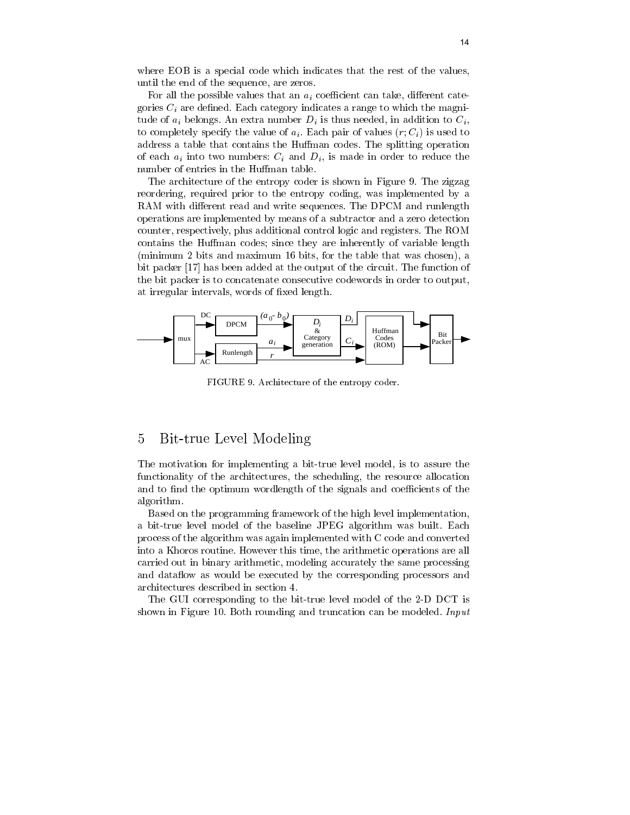where EOB is a special code which indicates that the rest of the values, until the end of the sequence, are zeros.

For all the possible values that an  $a_i$  coefficient can take, different categories  $C_i$  are defined. Each category indicates a range to which the magnitude of  $a_i$  belongs. An extra number  $D_i$  is thus needed, in addition to  $C_i$ , to completely specify the value of  $a_i$ . Each pair of values  $(r; C_i)$  is used to address a table that contains the Huffman codes. The splitting operation of each  $a_i$  into two numbers:  $C_i$  and  $D_i$ , is made in order to reduce the number of entries in the Human table.

The architecture of the entropy coder is shown in Figure 9. The zigzag reordering, required prior to the entropy coding, was implemented by a RAM with different read and write sequences. The DPCM and runlength operations are implemented by means of a subtractor and a zero detection counter, respectively, plus additional control logic and registers. The ROM contains the Huffman codes; since they are inherently of variable length (minimum 2 bits and maximum 16 bits, for the table that was chosen), a bit packer [17] has been added atthe output of the circuit. The function of the bit packer is to concatenate consecutive codewords in order to output, at irregular intervals, words of fixed length.



FIGURE 9. Architecture of the entropy coder.

#### $\overline{5}$ 5 Bit-true Level Modeling

The motivation for implementing a bit-true level model, is to assure the functionality of the architectures, the scheduling, the resource allocation and to find the optimum wordlength of the signals and coefficients of the algorithm.

Based on the programming framework of the high level implementation, a bit-true level model of the baseline JPEG algorithm was built. Each process of the algorithm was again implemented with C code and converted into a Khoros routine. However this time, the arithmetic operations are all carried out in binary arithmetic, modeling accurately the same processing and data flow as would be executed by the corresponding processors and architectures described in section 4.

The GUI corresponding to the bit-true level model of the 2-D DCT is shown in Figure 10. Both rounding and truncation can be modeled. Input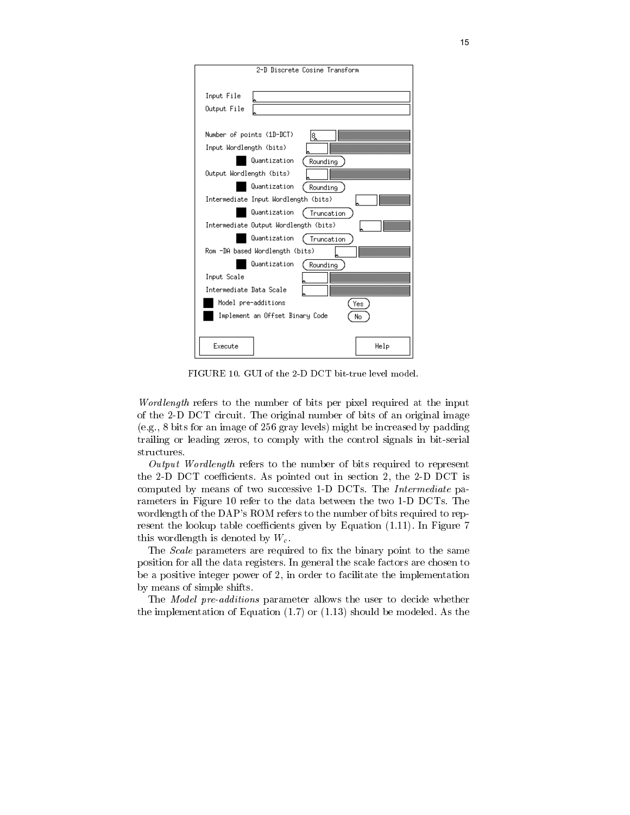| 2-D Discrete Cosine Iransform                                                                                                                                                                                                                                                                                                                                                                                                                                                  |
|--------------------------------------------------------------------------------------------------------------------------------------------------------------------------------------------------------------------------------------------------------------------------------------------------------------------------------------------------------------------------------------------------------------------------------------------------------------------------------|
| Input File<br>Output File                                                                                                                                                                                                                                                                                                                                                                                                                                                      |
| Number of points (1D-DCT)<br>18.<br>Input Wordlength (bits)<br>Quantization<br>Rounding<br>Output Wordlength (bits)<br>Quantization<br>Rounding<br>Intermediate Input Wordlength (bits)<br>Quantization<br>Truncation<br>Intermediate Output Wordlength (bits)<br>Quantization<br>(Truncation<br>Rom -DA based Wordlength (bits)<br>Quantization<br>(Rounding<br>Input Scale<br>Intermediate Data Scale<br>Model pre-additions<br>Yes<br>Implement an Offset Binary Code<br>No |
| Execute<br>Help                                                                                                                                                                                                                                                                                                                                                                                                                                                                |

FIGURE 10. GUI of the 2-D DCT bit-true level model.

Wordlength refers to the number of bits per pixel required at the input of the 2-D DCT circuit. The original number of bits of an original image (e.g., 8 bits for an image of 256 gray levels) might be increased by padding trailing or leading zeros, to comply with the control signals in bit-serial structures.

Output Wordlength refers to the number of bits required to represent the 2-D DCT coefficients. As pointed out in section 2, the 2-D DCT is computed by means of two successive 1-D DCTs. The Intermediate parameters in Figure 10 refer to the data between the two 1-D DCTs. The wordlength of the DAP's ROM refers to the number of bits required to represent the lookup table coefficients given by Equation  $(1.11)$ . In Figure 7 this wordlength is denoted by  $W_c$ .

The *Scale* parameters are required to fix the binary point to the same position for all the data registers. In general the scale factors are chosen to be a positive integer power of 2, in order to facilitate the implementation by means of simple shifts.

The Model pre-additions parameter allows the user to decide whether the implementation of Equation (1.7) or (1.13) should be modeled. As the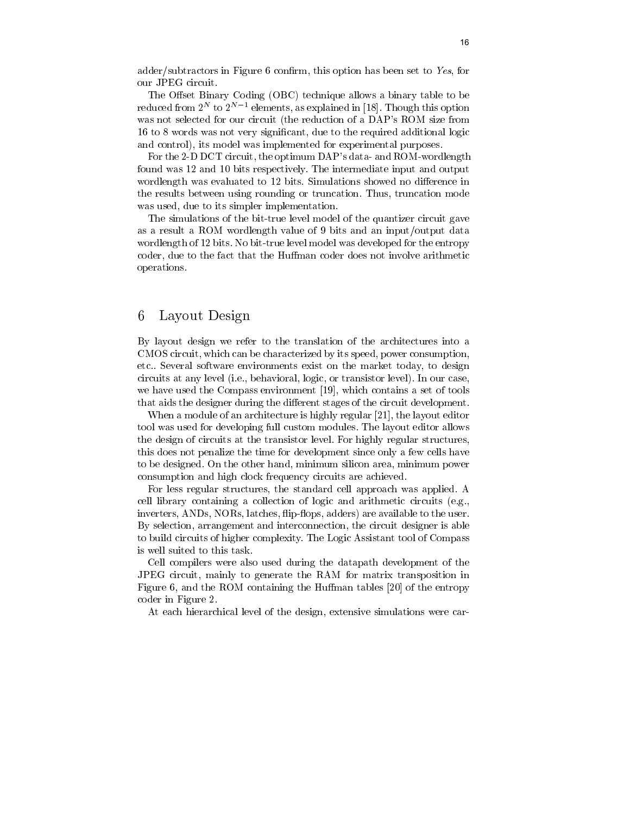adder/subtractors in Figure 6 confirm, this option has been set to Yes, for our JPEG circuit.

The Offset Binary Coding (OBC) technique allows a binary table to be reduced from 2<sup>N</sup> to 2<sup>N</sup>1 elements, as explained in [18]. Though this option was not selected for our circuit (the reduction of a DAP's ROM size from 16 to 8 words was not very signicant, due to the required additional logic and control), its model was implemented for experimental purposes.

For the 2-D DCT circuit, the optimum DAP's data- and ROM-wordlength found was 12 and 10 bits respectively. The intermediate input and output wordlength was evaluated to 12 bits. Simulations showed no difference in the results between using rounding or truncation. Thus, truncation mode was used, due to its simpler implementation.

The simulations of the bit-true level model of the quantizer circuit gave as a result a ROM wordlength value of 9 bits and an input/output data wordlength of 12 bits. No bit-true level model was developed for the entropy coder, due to the fact that the Human coder does not involve arithmetic operations.

### 6 Layout Design

By layout design we refer to the translation of the architectures into a CMOS circuit, which can be characterized by its speed, power consumption, etc.. Several software environments exist on the market today, to design circuits at any level (i.e., behavioral, logic, or transistor level). In our case, we have used the Compass environment [19], which contains a set of tools that aids the designer during the different stages of the circuit development.

When a module of an architecture is highly regular  $[21]$ , the layout editor tool was used for developing full custom modules. The layout editor allows the design of circuits at the transistor level. For highly regular structures, this does not penalize the time for development since only a few cells have to be designed. On the other hand, minimum silicon area, minimum power consumption and high clock frequency circuits are achieved.

For less regular structures, the standard cell approach was applied. A cell library containing a collection of logic and arithmetic circuits (e.g., inverters, ANDs, NORs, latches, flip-flops, adders) are available to the user. By selection, arrangement and interconnection, the circuit designer is able to build circuits of higher complexity. The Logic Assistant tool of Compass is well suited to this task.

Cell compilers were also used during the datapath development of the JPEG circuit, mainly to generate the RAM for matrix transposition in Figure 6, and the ROM containing the Huffman tables [20] of the entropy coder in Figure 2.

At each hierarchical level of the design, extensive simulations were car-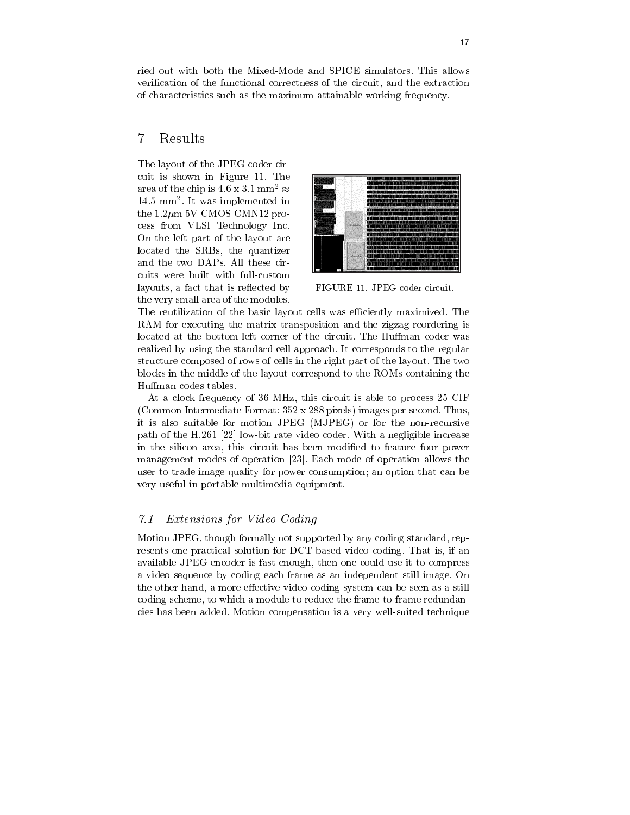ried out with both the Mixed-Mode and SPICE simulators. This allows verication of the functional correctness of the circuit, and the extraction of characteristics such as the maximum attainable working frequency.

#### $\overline{7}$ Results

The layout of the JPEG coder circuit is shown in Figure 11. The area of the chip is  $4.6 \times 3.1 \text{ mm}^2 \approx$ 14.5 mm2 . It was implemented in the  $1.2 \mu m$  5V CMOS CMN12 process from VLSI Technology Inc. On the left part of the layout are located the SRBs, the quantizer and the two DAPs. All these circuits were built with full-custom layouts, a fact that is reflected by the very small area of the modules.



FIGURE 11. JPEG coder circuit.

The reutilization of the basic layout cells was efficiently maximized. The RAM for executing the matrix transposition and the zigzag reordering is located at the bottom-left corner of the circuit. The Huffman coder was realized by using the standard cell approach. It corresponds to the regular structure composed of rows of cells in the right part of the layout. The two blocks in the middle of the layout correspond to the ROMs containing the Human codes tables.

At a clock frequency of 36 MHz, this circuit is able to process 25 CIF (Common Intermediate Format: 352 x 288 pixels) images per second. Thus, it is also suitable for motion JPEG (MJPEG) or for the non-recursive path of the H.261 [22] low-bit rate video coder. With a negligible increase in the silicon area, this circuit has been modified to feature four power management modes of operation [23]. Each mode of operation allows the user to trade image quality for power consumption; an option that can be very useful in portable multimedia equipment.

#### 7.1Extensions for Video Coding

Motion JPEG, though formally not supported by any coding standard, represents one practical solution for DCT-based video coding. That is, if an available JPEG encoder is fast enough, then one could use it to compress a video sequence by coding each frame as an independent still image. On the other hand, a more effective video coding system can be seen as a still coding scheme, to which a module to reduce the frame-to-frame redundancies has been added. Motion compensation is a very well-suited technique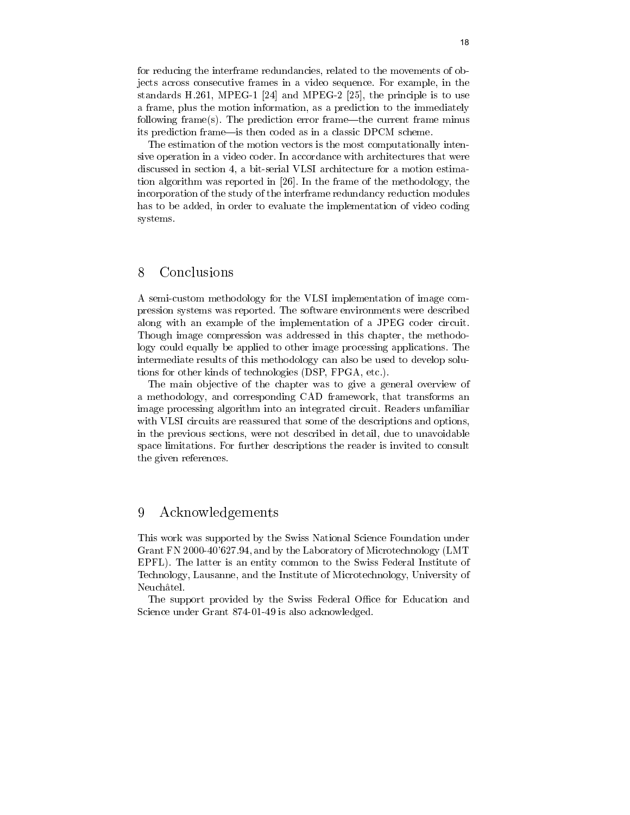for reducing the interframe redundancies, related to the movements of objects across consecutive frames in a video sequence. For example, in the standards H.261, MPEG-1 [24] and MPEG-2 [25], the principle is to use a frame, plus the motion information, as a prediction to the immediately following frame(s). The prediction error frame—the current frame minus its prediction frame—is then coded as in a classic DPCM scheme.

The estimation of the motion vectors is the most computationally intensive operation in a video coder. In accordance with architectures that were discussed in section 4, a bit-serial VLSI architecture for a motion estimation algorithm was reported in [26]. In the frame of the methodology, the incorporation of the study of the interframe redundancy reduction modules has to be added, in order to evaluate the implementation of video coding systems.

A semi-custom methodology for the VLSI implementation of image compression systems was reported. The software environments were described along with an example of the implementation of a JPEG coder circuit. Though image compression was addressed in this chapter, the methodology could equally be applied to other image processing applications. The intermediate results of this methodology can also be used to develop solutions for other kinds of technologies (DSP, FPGA, etc.).

The main objective of the chapter was to give a general overview of a methodology, and corresponding CAD framework, that transforms an image processing algorithm into an integrated circuit. Readers unfamiliar with VLSI circuits are reassured that some of the descriptions and options, in the previous sections, were not described in detail, due to unavoidable space limitations. For further descriptions the reader is invited to consult the given references.

### 9 Acknowledgements

This work was supported by the Swiss National Science Foundation under Grant FN 2000-40'627.94, and by the Laboratory of Microtechnology (LMT EPFL). The latter is an entity common to the Swiss Federal Institute of Technology, Lausanne, and the Institute of Microtechnology, University of Neuchâtel.

The support provided by the Swiss Federal Office for Education and Science under Grant 874-01-49 is also acknowledged.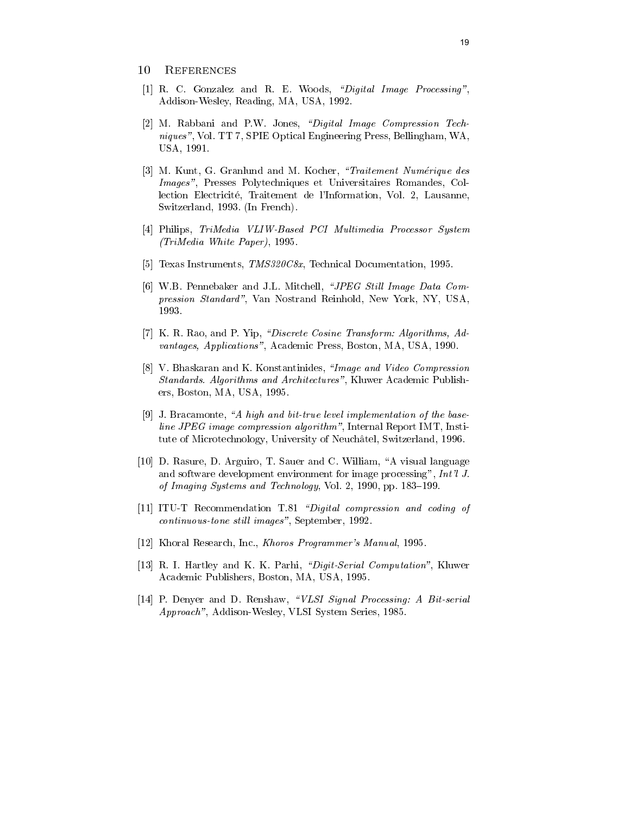### <sup>10</sup> References

- [1] R. C. Gonzalez and R. E. Woods, "Digital Image Processing", Addison-Wesley, Reading, MA, USA, 1992.
- [2] M. Rabbani and P.W. Jones, "Digital Image Compression Techniques", Vol. TT 7, SPIE Optical Engineering Press, Bellingham, WA, USA, 1991.
- [3] M. Kunt, G. Granlund and M. Kocher, "Traitement Numérique des Images", Presses Polytechniques et Universitaires Romandes, Collection Electricité, Traitement de l'Information, Vol. 2, Lausanne. Switzerland, 1993. (In French).
- [4] Philips, TriMedia VLIW-Based PCI Multimedia Processor System (TriMedia White Paper), 1995.
- [5] Texas Instruments, TMS320C8x, Technical Documentation, 1995.
- [6] W.B. Pennebaker and J.L. Mitchell, "JPEG Still Image Data Compression Standard", Van Nostrand Reinhold, New York, NY, USA, 1993.
- [7] K. R. Rao, and P. Yip, "Discrete Cosine Transform: Algorithms,  $Ad$ vantages, Applications", Academic Press, Boston, MA, USA, 1990.
- [8] V. Bhaskaran and K. Konstantinides, "Image and Video Compression Standards. Algorithms and Architectures", Kluwer Academic Publishers, Boston, MA, USA, 1995.
- [9] J. Bracamonte, "A high and bit-true level implementation of the baseline JPEG image compression algorithm", Internal Report IMT, Institute of Microtechnology, University of Neuchâtel, Switzerland, 1996.
- $[10]$  D. Rasure, D. Arguiro, T. Sauer and C. William, "A visual language and software development environment for image processing", Int'l J. of Imaging Systems and Technology, Vol. 2, 1990, pp. 183-199.
- [11] ITU-T Recommendation T.81 "Digital compression and coding of continuous-tone still images", September, 1992.
- [12] Khoral Research, Inc., Khoros Programmer's Manual, 1995.
- [13] R. I. Hartley and K. K. Parhi, "Digit-Serial Computation", Kluwer Academic Publishers, Boston, MA, USA, 1995.
- [14] P. Denyer and D. Renshaw, "VLSI Signal Processing: A Bit-serial Approach", Addison-Wesley, VLSI System Series, 1985.